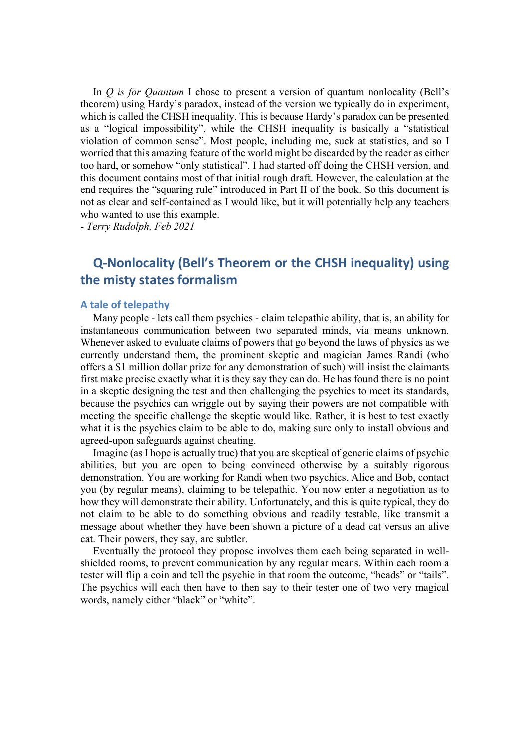In *Q is for Quantum* I chose to present a version of quantum nonlocality (Bell's theorem) using Hardy's paradox, instead of the version we typically do in experiment, which is called the CHSH inequality. This is because Hardy's paradox can be presented as a "logical impossibility", while the CHSH inequality is basically a "statistical violation of common sense". Most people, including me, suck at statistics, and so I worried that this amazing feature of the world might be discarded by the reader as either too hard, or somehow "only statistical". I had started off doing the CHSH version, and this document contains most of that initial rough draft. However, the calculation at the end requires the "squaring rule" introduced in Part II of the book. So this document is not as clear and self-contained as I would like, but it will potentially help any teachers who wanted to use this example.

*- Terry Rudolph, Feb 2021*

# **Q-Nonlocality (Bell's Theorem or the CHSH inequality) using the misty states formalism**

## **A tale of telepathy**

Many people - lets call them psychics - claim telepathic ability, that is, an ability for instantaneous communication between two separated minds, via means unknown. Whenever asked to evaluate claims of powers that go beyond the laws of physics as we currently understand them, the prominent skeptic and magician James Randi (who offers a \$1 million dollar prize for any demonstration of such) will insist the claimants first make precise exactly what it is they say they can do. He has found there is no point in a skeptic designing the test and then challenging the psychics to meet its standards, because the psychics can wriggle out by saying their powers are not compatible with meeting the specific challenge the skeptic would like. Rather, it is best to test exactly what it is the psychics claim to be able to do, making sure only to install obvious and agreed-upon safeguards against cheating.

Imagine (as I hope is actually true) that you are skeptical of generic claims of psychic abilities, but you are open to being convinced otherwise by a suitably rigorous demonstration. You are working for Randi when two psychics, Alice and Bob, contact you (by regular means), claiming to be telepathic. You now enter a negotiation as to how they will demonstrate their ability. Unfortunately, and this is quite typical, they do not claim to be able to do something obvious and readily testable, like transmit a message about whether they have been shown a picture of a dead cat versus an alive cat. Their powers, they say, are subtler.

Eventually the protocol they propose involves them each being separated in wellshielded rooms, to prevent communication by any regular means. Within each room a tester will flip a coin and tell the psychic in that room the outcome, "heads" or "tails". The psychics will each then have to then say to their tester one of two very magical words, namely either "black" or "white".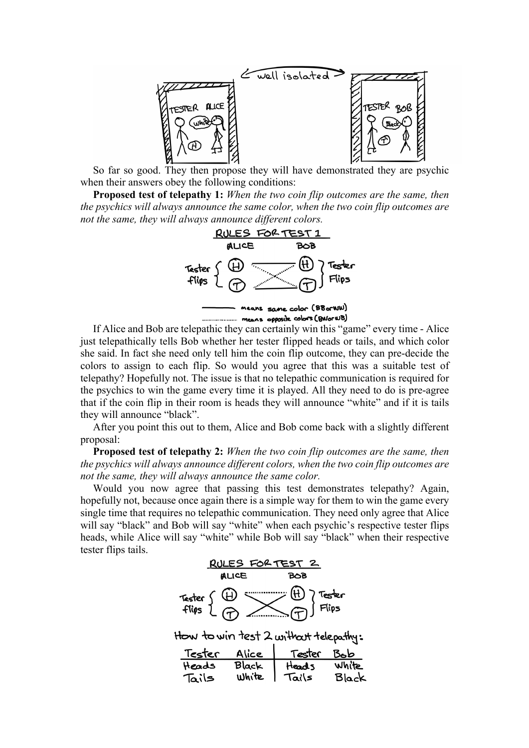

So far so good. They then propose they will have demonstrated they are psychic when their answers obey the following conditions:

**Proposed test of telepathy 1:** *When the two coin flip outcomes are the same, then the psychics will always announce the same color, when the two coin flip outcomes are not the same, they will always announce different colors.*



If Alice and Bob are telepathic they can certainly win this "game" every time - Alice just telepathically tells Bob whether her tester flipped heads or tails, and which color she said. In fact she need only tell him the coin flip outcome, they can pre-decide the colors to assign to each flip. So would you agree that this was a suitable test of telepathy? Hopefully not. The issue is that no telepathic communication is required for the psychics to win the game every time it is played. All they need to do is pre-agree that if the coin flip in their room is heads they will announce "white" and if it is tails they will announce "black".

After you point this out to them, Alice and Bob come back with a slightly different proposal:

**Proposed test of telepathy 2:** *When the two coin flip outcomes are the same, then the psychics will always announce different colors, when the two coin flip outcomes are not the same, they will always announce the same color.*

Would you now agree that passing this test demonstrates telepathy? Again, hopefully not, because once again there is a simple way for them to win the game every single time that requires no telepathic communication. They need only agree that Alice will say "black" and Bob will say "white" when each psychic's respective tester flips heads, while Alice will say "white" while Bob will say "black" when their respective tester flips tails.



How to win test 2 without telepathy:

| Tester | Alice | Tester | طحكا  |
|--------|-------|--------|-------|
| Heads  | Black | Heads  | White |
| Tails  | White | Tails  | Black |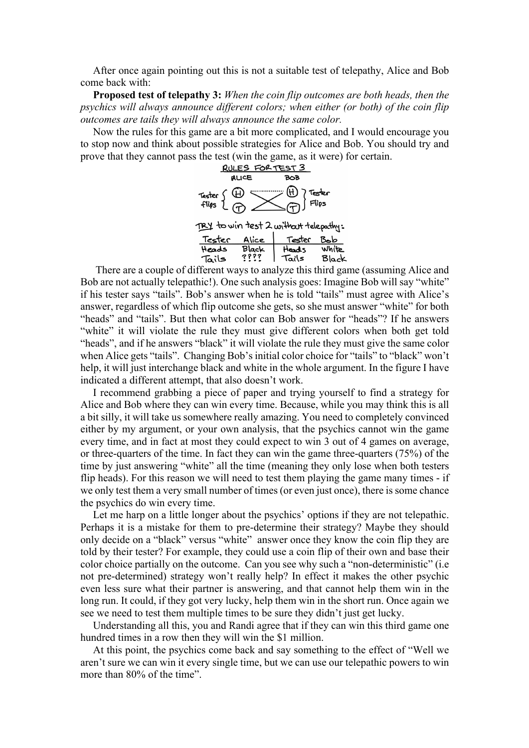After once again pointing out this is not a suitable test of telepathy, Alice and Bob come back with:

**Proposed test of telepathy 3:** *When the coin flip outcomes are both heads, then the psychics will always announce different colors; when either (or both) of the coin flip outcomes are tails they will always announce the same color.*

Now the rules for this game are a bit more complicated, and I would encourage you to stop now and think about possible strategies for Alice and Bob. You should try and prove that they cannot pass the test (win the game, as it were) for certain.<br><u>RULES FOR TEST 3</u>



TRY to win test 2 without telepathy:

| Tester | Alice | Tester Bob   |       |
|--------|-------|--------------|-------|
| Heads  | Black | <b>Heads</b> | White |
| Tails  | ????  | Tails        | Black |

There are a couple of different ways to analyze this third game (assuming Alice and Bob are not actually telepathic!). One such analysis goes: Imagine Bob will say "white" if his tester says "tails". Bob's answer when he is told "tails" must agree with Alice's answer, regardless of which flip outcome she gets, so she must answer "white" for both "heads" and "tails". But then what color can Bob answer for "heads"? If he answers "white" it will violate the rule they must give different colors when both get told "heads", and if he answers "black" it will violate the rule they must give the same color when Alice gets "tails". Changing Bob's initial color choice for "tails" to "black" won't help, it will just interchange black and white in the whole argument. In the figure I have indicated a different attempt, that also doesn't work.

I recommend grabbing a piece of paper and trying yourself to find a strategy for Alice and Bob where they can win every time. Because, while you may think this is all a bit silly, it will take us somewhere really amazing. You need to completely convinced either by my argument, or your own analysis, that the psychics cannot win the game every time, and in fact at most they could expect to win 3 out of 4 games on average, or three-quarters of the time. In fact they can win the game three-quarters (75%) of the time by just answering "white" all the time (meaning they only lose when both testers flip heads). For this reason we will need to test them playing the game many times - if we only test them a very small number of times(or even just once), there is some chance the psychics do win every time.

Let me harp on a little longer about the psychics' options if they are not telepathic. Perhaps it is a mistake for them to pre-determine their strategy? Maybe they should only decide on a "black" versus "white" answer once they know the coin flip they are told by their tester? For example, they could use a coin flip of their own and base their color choice partially on the outcome. Can you see why such a "non-deterministic" (i.e not pre-determined) strategy won't really help? In effect it makes the other psychic even less sure what their partner is answering, and that cannot help them win in the long run. It could, if they got very lucky, help them win in the short run. Once again we see we need to test them multiple times to be sure they didn't just get lucky.

Understanding all this, you and Randi agree that if they can win this third game one hundred times in a row then they will win the \$1 million.

At this point, the psychics come back and say something to the effect of "Well we aren't sure we can win it every single time, but we can use our telepathic powers to win more than 80% of the time".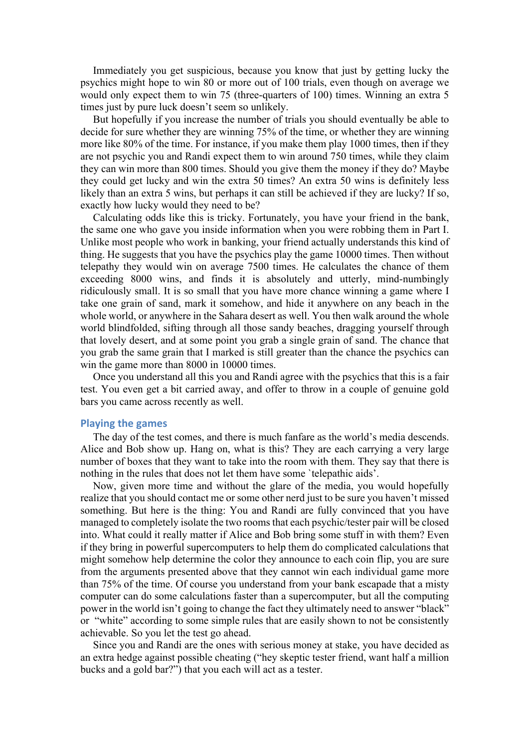Immediately you get suspicious, because you know that just by getting lucky the psychics might hope to win 80 or more out of 100 trials, even though on average we would only expect them to win 75 (three-quarters of 100) times. Winning an extra 5 times just by pure luck doesn't seem so unlikely.

But hopefully if you increase the number of trials you should eventually be able to decide for sure whether they are winning 75% of the time, or whether they are winning more like 80% of the time. For instance, if you make them play 1000 times, then if they are not psychic you and Randi expect them to win around 750 times, while they claim they can win more than 800 times. Should you give them the money if they do? Maybe they could get lucky and win the extra 50 times? An extra 50 wins is definitely less likely than an extra 5 wins, but perhaps it can still be achieved if they are lucky? If so, exactly how lucky would they need to be?

Calculating odds like this is tricky. Fortunately, you have your friend in the bank, the same one who gave you inside information when you were robbing them in Part I. Unlike most people who work in banking, your friend actually understands this kind of thing. He suggests that you have the psychics play the game 10000 times. Then without telepathy they would win on average 7500 times. He calculates the chance of them exceeding 8000 wins, and finds it is absolutely and utterly, mind-numbingly ridiculously small. It is so small that you have more chance winning a game where I take one grain of sand, mark it somehow, and hide it anywhere on any beach in the whole world, or anywhere in the Sahara desert as well. You then walk around the whole world blindfolded, sifting through all those sandy beaches, dragging yourself through that lovely desert, and at some point you grab a single grain of sand. The chance that you grab the same grain that I marked is still greater than the chance the psychics can win the game more than 8000 in 10000 times.

Once you understand all this you and Randi agree with the psychics that this is a fair test. You even get a bit carried away, and offer to throw in a couple of genuine gold bars you came across recently as well.

## **Playing the games**

The day of the test comes, and there is much fanfare as the world's media descends. Alice and Bob show up. Hang on, what is this? They are each carrying a very large number of boxes that they want to take into the room with them. They say that there is nothing in the rules that does not let them have some `telepathic aids'.

Now, given more time and without the glare of the media, you would hopefully realize that you should contact me or some other nerd just to be sure you haven't missed something. But here is the thing: You and Randi are fully convinced that you have managed to completely isolate the two rooms that each psychic/tester pair will be closed into. What could it really matter if Alice and Bob bring some stuff in with them? Even if they bring in powerful supercomputers to help them do complicated calculations that might somehow help determine the color they announce to each coin flip, you are sure from the arguments presented above that they cannot win each individual game more than 75% of the time. Of course you understand from your bank escapade that a misty computer can do some calculations faster than a supercomputer, but all the computing power in the world isn't going to change the fact they ultimately need to answer "black" or "white" according to some simple rules that are easily shown to not be consistently achievable. So you let the test go ahead.

Since you and Randi are the ones with serious money at stake, you have decided as an extra hedge against possible cheating ("hey skeptic tester friend, want half a million bucks and a gold bar?") that you each will act as a tester.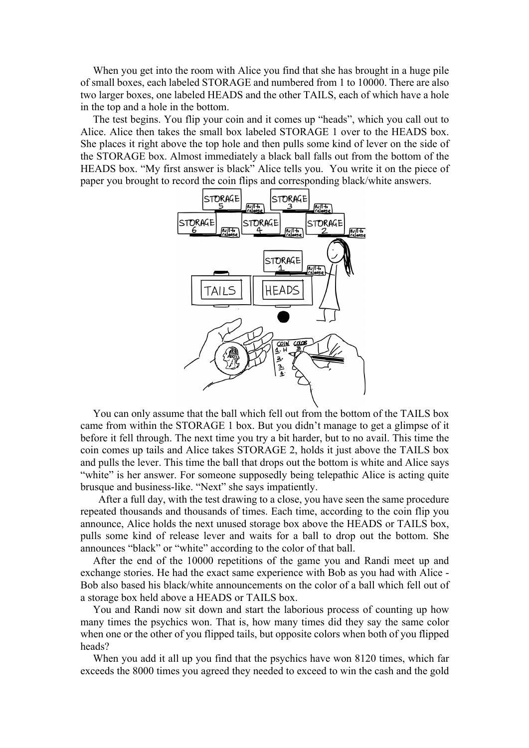When you get into the room with Alice you find that she has brought in a huge pile of small boxes, each labeled STORAGE and numbered from 1 to 10000. There are also two larger boxes, one labeled HEADS and the other TAILS, each of which have a hole in the top and a hole in the bottom.

The test begins. You flip your coin and it comes up "heads", which you call out to Alice. Alice then takes the small box labeled STORAGE 1 over to the HEADS box. She places it right above the top hole and then pulls some kind of lever on the side of the STORAGE box. Almost immediately a black ball falls out from the bottom of the HEADS box. "My first answer is black" Alice tells you. You write it on the piece of paper you brought to record the coin flips and corresponding black/white answers.



You can only assume that the ball which fell out from the bottom of the TAILS box came from within the STORAGE 1 box. But you didn't manage to get a glimpse of it before it fell through. The next time you try a bit harder, but to no avail. This time the coin comes up tails and Alice takes STORAGE 2, holds it just above the TAILS box and pulls the lever. This time the ball that drops out the bottom is white and Alice says "white" is her answer. For someone supposedly being telepathic Alice is acting quite brusque and business-like. "Next" she says impatiently.

 After a full day, with the test drawing to a close, you have seen the same procedure repeated thousands and thousands of times. Each time, according to the coin flip you announce, Alice holds the next unused storage box above the HEADS or TAILS box, pulls some kind of release lever and waits for a ball to drop out the bottom. She announces "black" or "white" according to the color of that ball.

After the end of the 10000 repetitions of the game you and Randi meet up and exchange stories. He had the exact same experience with Bob as you had with Alice - Bob also based his black/white announcements on the color of a ball which fell out of a storage box held above a HEADS or TAILS box.

You and Randi now sit down and start the laborious process of counting up how many times the psychics won. That is, how many times did they say the same color when one or the other of you flipped tails, but opposite colors when both of you flipped heads?

When you add it all up you find that the psychics have won 8120 times, which far exceeds the 8000 times you agreed they needed to exceed to win the cash and the gold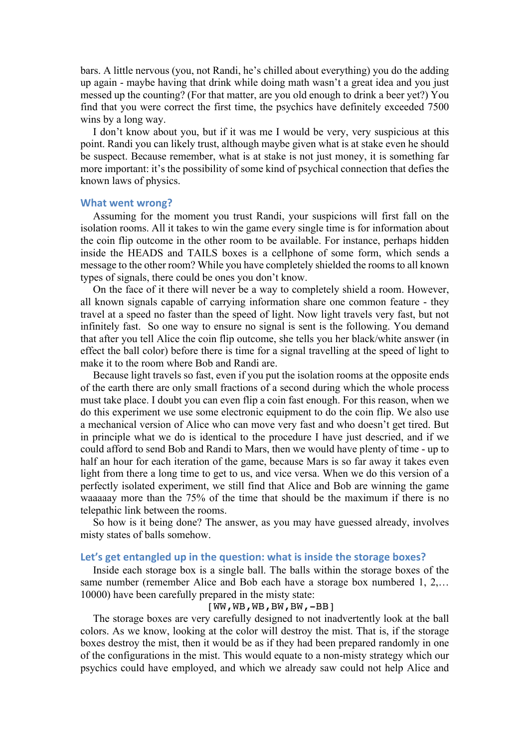bars. A little nervous (you, not Randi, he's chilled about everything) you do the adding up again - maybe having that drink while doing math wasn't a great idea and you just messed up the counting? (For that matter, are you old enough to drink a beer yet?) You find that you were correct the first time, the psychics have definitely exceeded 7500 wins by a long way.

I don't know about you, but if it was me I would be very, very suspicious at this point. Randi you can likely trust, although maybe given what is at stake even he should be suspect. Because remember, what is at stake is not just money, it is something far more important: it's the possibility of some kind of psychical connection that defies the known laws of physics.

#### **What went wrong?**

Assuming for the moment you trust Randi, your suspicions will first fall on the isolation rooms. All it takes to win the game every single time is for information about the coin flip outcome in the other room to be available. For instance, perhaps hidden inside the HEADS and TAILS boxes is a cellphone of some form, which sends a message to the other room? While you have completely shielded the rooms to all known types of signals, there could be ones you don't know.

On the face of it there will never be a way to completely shield a room. However, all known signals capable of carrying information share one common feature - they travel at a speed no faster than the speed of light. Now light travels very fast, but not infinitely fast. So one way to ensure no signal is sent is the following. You demand that after you tell Alice the coin flip outcome, she tells you her black/white answer (in effect the ball color) before there is time for a signal travelling at the speed of light to make it to the room where Bob and Randi are.

Because light travels so fast, even if you put the isolation rooms at the opposite ends of the earth there are only small fractions of a second during which the whole process must take place. I doubt you can even flip a coin fast enough. For this reason, when we do this experiment we use some electronic equipment to do the coin flip. We also use a mechanical version of Alice who can move very fast and who doesn't get tired. But in principle what we do is identical to the procedure I have just descried, and if we could afford to send Bob and Randi to Mars, then we would have plenty of time - up to half an hour for each iteration of the game, because Mars is so far away it takes even light from there a long time to get to us, and vice versa. When we do this version of a perfectly isolated experiment, we still find that Alice and Bob are winning the game waaaaay more than the 75% of the time that should be the maximum if there is no telepathic link between the rooms.

So how is it being done? The answer, as you may have guessed already, involves misty states of balls somehow.

#### **Let's get entangled up in the question: what is inside the storage boxes?**

Inside each storage box is a single ball. The balls within the storage boxes of the same number (remember Alice and Bob each have a storage box numbered 1, 2,... 10000) have been carefully prepared in the misty state:

# $[WW, WB, WB, BW, BW, -BB]$

The storage boxes are very carefully designed to not inadvertently look at the ball colors. As we know, looking at the color will destroy the mist. That is, if the storage boxes destroy the mist, then it would be as if they had been prepared randomly in one of the configurations in the mist. This would equate to a non-misty strategy which our psychics could have employed, and which we already saw could not help Alice and